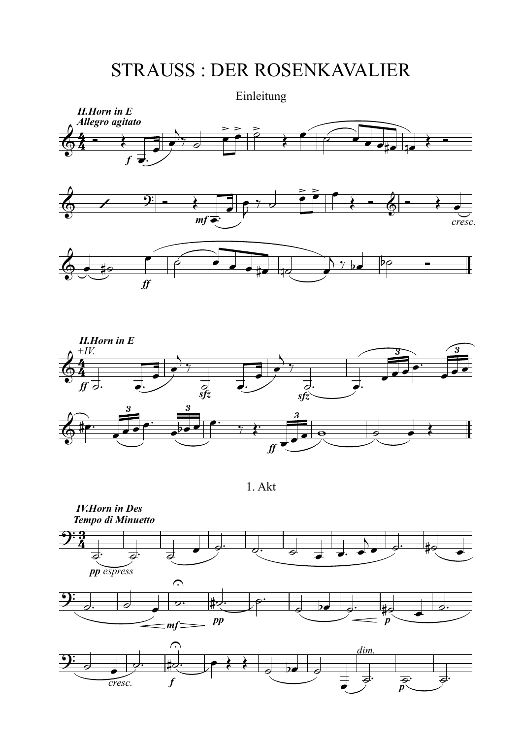## STRAUSS : DER ROSENKAVALIER





1. Akt